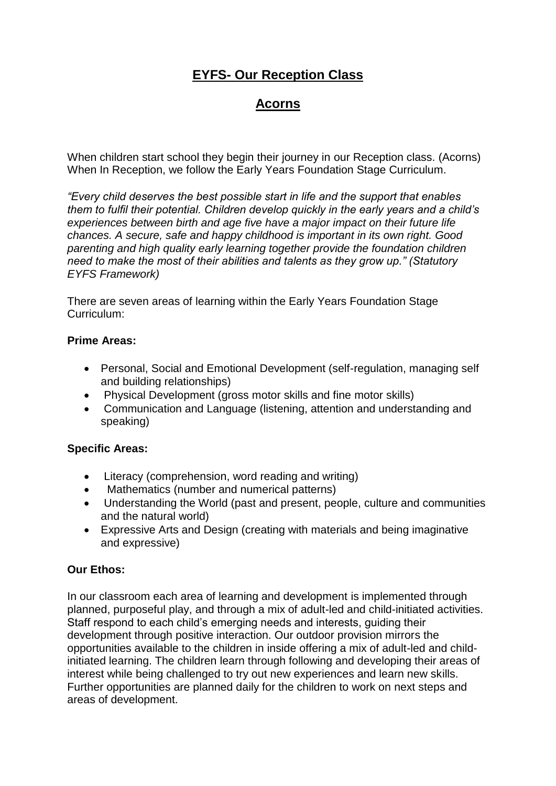# **EYFS- Our Reception Class**

## **Acorns**

When children start school they begin their journey in our Reception class. (Acorns) When In Reception, we follow the Early Years Foundation Stage Curriculum.

*"Every child deserves the best possible start in life and the support that enables them to fulfil their potential. Children develop quickly in the early years and a child's experiences between birth and age five have a major impact on their future life chances. A secure, safe and happy childhood is important in its own right. Good parenting and high quality early learning together provide the foundation children need to make the most of their abilities and talents as they grow up." (Statutory EYFS Framework)* 

There are seven areas of learning within the Early Years Foundation Stage Curriculum:

#### **Prime Areas:**

- Personal, Social and Emotional Development (self-regulation, managing self and building relationships)
- Physical Development (gross motor skills and fine motor skills)
- Communication and Language (listening, attention and understanding and speaking)

#### **Specific Areas:**

- Literacy (comprehension, word reading and writing)
- Mathematics (number and numerical patterns)
- Understanding the World (past and present, people, culture and communities and the natural world)
- Expressive Arts and Design (creating with materials and being imaginative and expressive)

#### **Our Ethos:**

In our classroom each area of learning and development is implemented through planned, purposeful play, and through a mix of adult-led and child-initiated activities. Staff respond to each child's emerging needs and interests, guiding their development through positive interaction. Our outdoor provision mirrors the opportunities available to the children in inside offering a mix of adult-led and childinitiated learning. The children learn through following and developing their areas of interest while being challenged to try out new experiences and learn new skills. Further opportunities are planned daily for the children to work on next steps and areas of development.